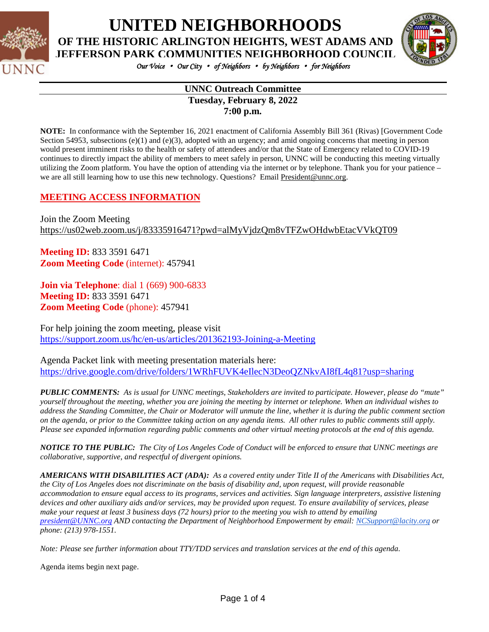

**UNITED NEIGHBORHOODS**

**OF THE HISTORIC ARLINGTON HEIGHTS, WEST ADAMS AND**



*Our Voice* • *Our City* • *of Neighbors* • *by Neighbors* • *for Neighbors*

#### **UNNC Outreach Committee Tuesday, February 8, 2022 7:00 p.m.**

**NOTE:** In conformance with the September 16, 2021 enactment of California Assembly Bill 361 (Rivas) [Government Code Section 54953, subsections (e)(1) and (e)(3), adopted with an urgency; and amid ongoing concerns that meeting in person would present imminent risks to the health or safety of attendees and/or that the State of Emergency related to COVID-19 continues to directly impact the ability of members to meet safely in person, UNNC will be conducting this meeting virtually utilizing the Zoom platform. You have the option of attending via the internet or by telephone. Thank you for your patience – we are all still learning how to use this new technology. Questions? Email [President@unnc.org.](mailto:President@unnc.org)

## **MEETING ACCESS INFORMATION**

Join the Zoom Meeting <https://us02web.zoom.us/j/83335916471?pwd=alMyVjdzQm8vTFZwOHdwbEtacVVkQT09>

**Meeting ID:** 833 3591 6471 **Zoom Meeting Code** (internet): 457941

**Join via Telephone**: dial 1 (669) 900-6833 **Meeting ID:** 833 3591 6471 **Zoom Meeting Code** (phone): 457941

For help joining the zoom meeting, please visit <https://support.zoom.us/hc/en-us/articles/201362193-Joining-a-Meeting>

Agenda Packet link with meeting presentation materials here: https://drive.google.com/drive/folders/1WRhFUVK4eIlecN3DeoQZNkvAI8fL4q81?usp=sharing

PUBLIC COMMENTS: As is usual for UNNC meetings, Stakeholders are invited to participate. However, please do "mute" yourself throughout the meeting, whether you are joining the meeting by internet or telephone. When an individual wishes to address the Standing Committee, the Chair or Moderator will unmute the line, whether it is during the public comment section on the agenda, or prior to the Committee taking action on any agenda items. All other rules to public comments still apply. Please see expanded information regarding public comments and other virtual meeting protocols at the end of this agenda.

NOTICE TO THE PUBLIC: The City of Los Angeles Code of Conduct will be enforced to ensure that UNNC meetings are *collaborative, supportive, and respectful of divergent opinions.*

**AMERICANS WITH DISABILITIES ACT (ADA):** As a covered entity under Title II of the Americans with Disabilities Act, the City of Los Angeles does not discriminate on the basis of disability and, upon request, will provide reasonable accommodation to ensure equal access to its programs, services and activities. Sign language interpreters, assistive listening devices and other auxiliary aids and/or services, may be provided upon request. To ensure availability of services, please make your request at least 3 business days (72 hours) prior to the meeting you wish to attend by emailing *[president@UNNC.org](mailto:president@UNNC.org) AND contacting the Department of Neighborhood Empowerment by email: [NCSupport@lacity.org](mailto:NCSupport@lacity.org) or phone: (213) 978-1551.*

Note: Please see further information about TTY/TDD services and translation services at the end of this agenda.

Agenda items begin next page.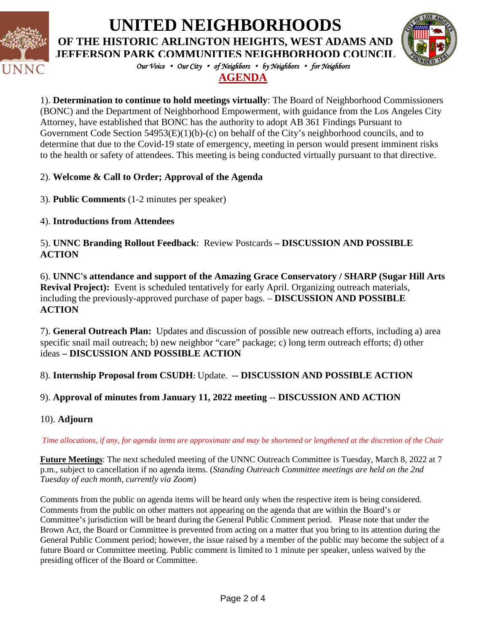

# **UNITED NEIGHBORHOODS**

**OF THE HISTORIC ARLINGTON HEIGHTS, WEST ADAMS AND JEFFERSON PARK COMMUNITIES NEIGHBORHOOD COUNCIL**



*Our Voice* • *Our City* • *of Neighbors* • *by Neighbors* • *for Neighbors*

## **AGENDA**

1). **Determination to continue to hold meetings virtually**: The Board of Neighborhood Commissioners (BONC) and the Department of Neighborhood Empowerment, with guidance from the Los Angeles City Attorney, have established that BONC has the authority to adopt AB 361 Findings Pursuant to Government Code Section 54953(E)(1)(b)-(c) on behalf of the City's neighborhood councils, and to determine that due to the Covid-19 state of emergency, meeting in person would present imminent risks to the health or safety of attendees. This meeting is being conducted virtually pursuant to that directive.

## 2). **Welcome & Call to Order; Approval of the Agenda**

3). **Public Comments** (1-2 minutes per speaker)

### 4). **Introductions from Attendees**

5). **UNNC Branding Rollout Feedback**: Review Postcards **– DISCUSSION AND POSSIBLE ACTION**

6). **UNNC's attendance and support of the Amazing Grace Conservatory / SHARP (Sugar Hill Arts Revival Project):** Event is scheduled tentatively for early April. Organizing outreach materials, including the previously-approved purchase of paper bags. – **DISCUSSION AND POSSIBLE ACTION**

7). **General Outreach Plan:** Updates and discussion of possible new outreach efforts, including a) area specific snail mail outreach; b) new neighbor "care" package; c) long term outreach efforts; d) other ideas **– DISCUSSION AND POSSIBLE ACTION** 

### 8). **Internship Proposal from CSUDH:** Update. **-- DISCUSSION AND POSSIBLE ACTION**

## 9). **Approval of minutes from January 11, 2022 meeting** -- **DISCUSSION AND ACTION**

10). **Adjourn**

#### Time allocations, if any, for agenda items are approximate and may be shortened or lengthened at the discretion of the Chair

**Future Meetings**: The next scheduled meeting of the UNNC Outreach Committee is Tuesday, March 8, 2022 at 7 p.m., subject to cancellation if no agenda items. (*Standing Outreach Committee meetings are held on the 2nd Tuesday of each month, currently via Zoom*)

Comments from the public on agenda items will be heard only when the respective item is being considered. Comments from the public on other matters not appearing on the agenda that are within the Board's or Committee's jurisdiction will be heard during the General Public Comment period. Please note that under the Brown Act, the Board or Committee is prevented from acting on a matter that you bring to its attention during the General Public Comment period; however, the issue raised by a member of the public may become the subject of a future Board or Committee meeting. Public comment is limited to 1 minute per speaker, unless waived by the presiding officer of the Board or Committee.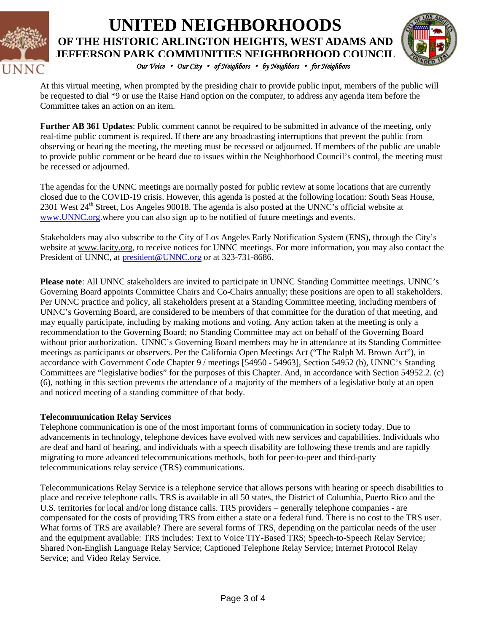

# **UNITED NEIGHBORHOODS OF THE HISTORIC ARLINGTON HEIGHTS, WEST ADAMS AND JEFFERSON PARK COMMUNITIES NEIGHBORHOOD COUNCIL** *Our Voice* • *Our City* • *of Neighbors* • *by Neighbors* • *for Neighbors*



At this virtual meeting, when prompted by the presiding chair to provide public input, members of the public will be requested to dial \*9 or use the Raise Hand option on the computer, to address any agenda item before the Committee takes an action on an item.

**Further AB 361 Updates**: Public comment cannot be required to be submitted in advance of the meeting, only real-time public comment is required. If there are any broadcasting interruptions that prevent the public from observing or hearing the meeting, the meeting must be recessed or adjourned. If members of the public are unable to provide public comment or be heard due to issues within the Neighborhood Council's control, the meeting must be recessed or adjourned.

The agendas for the UNNC meetings are normally posted for public review at some locations that are currently closed due to the COVID-19 crisis. However, this agenda is posted at the following location: South Seas House, 2301 West 24<sup>th</sup> Street, Los Angeles 90018. The agenda is also posted at the UNNC's official website at [www.UNNC.org.](http://www.unnc.org/)where you can also sign up to be notified of future meetings and events.

Stakeholders may also subscribe to the City of Los Angeles Early Notification System (ENS), through the City's website at www.lacity.org, to receive notices for UNNC meetings. For more information, you may also contact the President of UNNC, at **[president@UNNC.org](mailto:president@UNNC.org)** or at 323-731-8686.

**Please note**: All UNNC stakeholders are invited to participate in UNNC Standing Committee meetings. UNNC's Governing Board appoints Committee Chairs and Co-Chairs annually; these positions are open to all stakeholders. Per UNNC practice and policy, all stakeholders present at a Standing Committee meeting, including members of UNNC's Governing Board, are considered to be members of that committee for the duration of that meeting, and may equally participate, including by making motions and voting. Any action taken at the meeting is only a recommendation to the Governing Board; no Standing Committee may act on behalf of the Governing Board without prior authorization. UNNC's Governing Board members may be in attendance at its Standing Committee meetings as participants or observers. Per the California Open Meetings Act ("The Ralph M. Brown Act"), in accordance with Government Code Chapter 9 / meetings [54950 - 54963], Section 54952 (b), UNNC's Standing Committees are "legislative bodies" for the purposes of this Chapter. And, in accordance with Section 54952.2. (c) (6), nothing in this section prevents the attendance of a majority of the members of a legislative body at an open and noticed meeting of a standing committee of that body.

#### **Telecommunication Relay Services**

Telephone communication is one of the most important forms of communication in society today. Due to advancements in technology, telephone devices have evolved with new services and capabilities. Individuals who are deaf and hard of hearing, and individuals with a speech disability are following these trends and are rapidly migrating to more advanced telecommunications methods, both for peer-to-peer and third-party telecommunications relay service (TRS) communications.

Telecommunications Relay Service is a telephone service that allows persons with hearing or speech disabilities to place and receive telephone calls. TRS is available in all 50 states, the District of Columbia, Puerto Rico and the U.S. territories for local and/or long distance calls. TRS providers – generally telephone companies - are compensated for the costs of providing TRS from either a state or a federal fund. There is no cost to the TRS user. What forms of TRS are available? There are several forms of TRS, depending on the particular needs of the user and the equipment available: TRS includes: Text to Voice TIY-Based TRS; Speech-to-Speech Relay Service; Shared Non-English Language Relay Service; Captioned Telephone Relay Service; Internet Protocol Relay Service; and Video Relay Service.